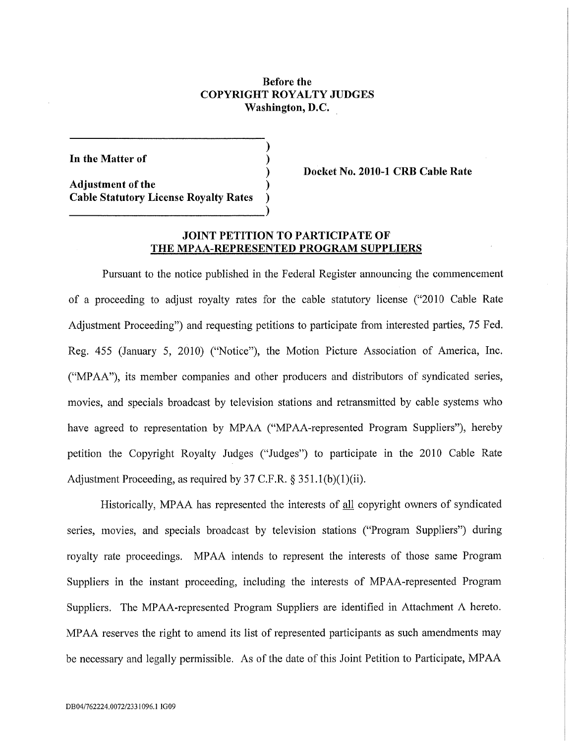## Before the COPYRIGHT ROYALTY JUDGES Washington, D.C.

)

)

)

In the Matter of

Adjustment of the ) Cable Statutory License Royalty Rates ) Docket No. 2010-1 CRB Cable Rate

## JOINT PETITION TO PARTICIPATE OF THE MPAA-REPRESENTED PROGRAM SUPPLIERS

Pursuant to the notice published in the Federal Register announcing the commencement of a proceeding to adjust royalty rates for the cable statutory license ("2010 Cable Rate Adjustment Proceeding") and requesting petitions to participate from interested parties, 75 Fed. Reg. 455 (January 5, 2010) ("Notice"), the Motion Picture Association of America, Inc. ("MP AA"), its member companies and other producers and distributors of syndicated series, movies, and specials broadcast by television stations and retransmitted by cable systems who have agreed to representation by MPAA ("MPAA-represented Program Suppliers"), hereby petition the Copyright Royalty Judges ("Judges") to participate in the 2010 Cable Rate Adjustment Proceeding, as required by 37 C.F.R.  $\S 351.1(b)(1)(ii)$ .

Historically, MP AA has represented the interests of all copyright owners of syndicated series, movies, and specials broadcast by television stations ("Program Suppliers") during royalty rate proceedings. MPAA intends to represent the interests of those same Program Suppliers in the instant proceeding, including the interests of MPAA-represented Program Suppliers. The MPAA-represented Program Suppliers are identified in Attachment A hereto. MPAA reserves the right to amend its list of represented participants as such amendments may be necessary and legally permissible. As of the date of this Joint Petition to Participate, MP AA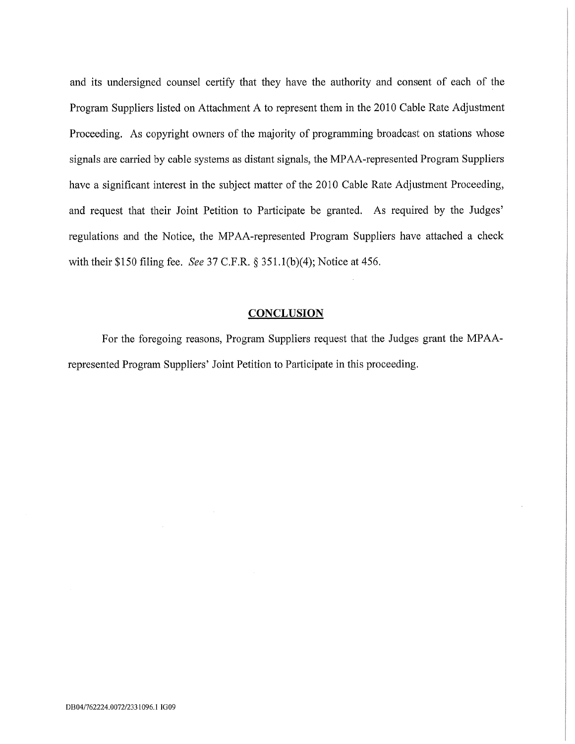and its undersigned counsel certify that they have the authority and consent of each of the Program Suppliers listed on Attachment A to represent them in the 2010 Cable Rate Adjustment Proceeding. As copyright owners of the majority of programming broadcast on stations whose signals are carried by cable systems as distant signals, the MPAA-represented Program Suppliers have a significant interest in the subject matter of the 2010 Cable Rate Adjustment Proceeding, and request that their Joint Petition to Participate be granted. As required by the Judges' regulations and the Notice, the MPAA-represented Program Suppliers have attached a check with their \$150 filing fee. See 37 C.F.R.  $\S$  351.1(b)(4); Notice at 456.

#### **CONCLUSION**

For the foregoing reasons, Program Suppliers request that the Judges grant the MPAArepresented Program Suppliers' Joint Petition to Participate in this proceeding.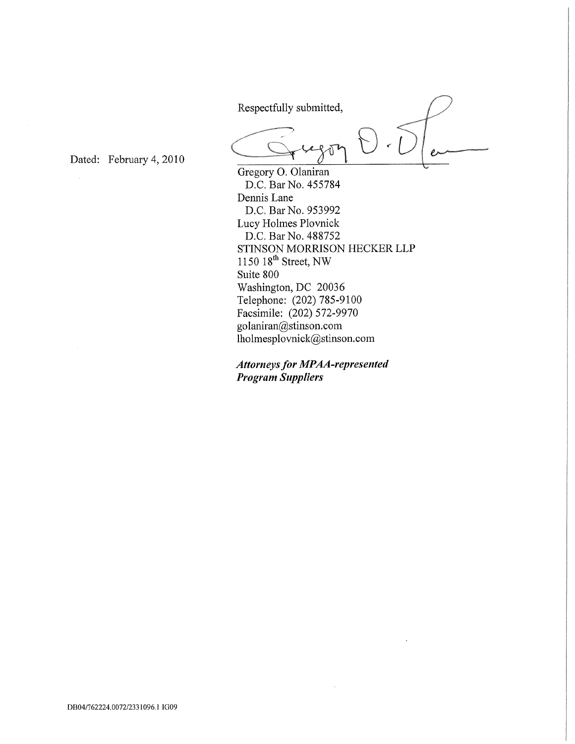Respectfully submitted,

or

Dated: February 4, 2010

Gregory 0, Olaniran D.C, Bar No. 455784 Dennis Lane D.C. Bar No. 953992 Lucy Holmes Plovnick D.C, Bar No. 488752 STINSON MORRISON HECKER LLP 1150 18<sup>th</sup> Street, NW Suite 800 Washington, DC 20036 Telephone: (202) 785-9100 Facsimile: (202) 572-9970 golaniran@stinson.com lholmesplovnick@stinson.com

Attorneys for MPAA-represented Program Suppliers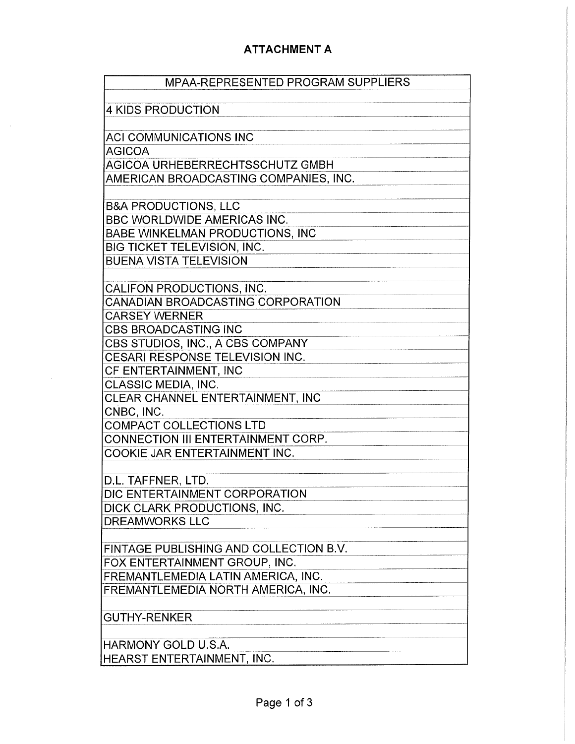# ATTACHMENT A

| MPAA-REPRESENTED PROGRAM SUPPLIERS                                  |
|---------------------------------------------------------------------|
|                                                                     |
| <b>4 KIDS PRODUCTION</b>                                            |
| <b>ACI COMMUNICATIONS INC</b>                                       |
| <b>AGICOA</b>                                                       |
| AGICOA URHEBERRECHTSSCHUTZ GMBH                                     |
| AMERICAN BROADCASTING COMPANIES, INC.                               |
| <b>B&amp;A PRODUCTIONS, LLC</b>                                     |
| <b>BBC WORLDWIDE AMERICAS INC.</b>                                  |
| BABE WINKELMAN PRODUCTIONS, INC                                     |
| BIG TICKET TELEVISION, INC.                                         |
| <b>BUENA VISTA TELEVISION</b>                                       |
|                                                                     |
| CALIFON PRODUCTIONS, INC.                                           |
| CANADIAN BROADCASTING CORPORATION                                   |
| <b>CARSEY WERNER</b>                                                |
| <b>CBS BROADCASTING INC</b>                                         |
| CBS STUDIOS, INC., A CBS COMPANY                                    |
| CESARI RESPONSE TELEVISION INC.                                     |
| CF ENTERTAINMENT, INC                                               |
| CLASSIC MEDIA, INC.                                                 |
| CLEAR CHANNEL ENTERTAINMENT, INC                                    |
| CNBC, INC.                                                          |
| <b>COMPACT COLLECTIONS LTD</b>                                      |
| CONNECTION III ENTERTAINMENT CORP.                                  |
| COOKIE JAR ENTERTAINMENT INC.                                       |
| D.L. TAFFNER, LTD.                                                  |
| DIC ENTERTAINMENT CORPORATION                                       |
| DICK CLARK PRODUCTIONS, INC.                                        |
| <b>DREAMWORKS LLC</b>                                               |
|                                                                     |
| FINTAGE PUBLISHING AND COLLECTION B.V.                              |
| FOX ENTERTAINMENT GROUP, INC.<br>FREMANTLEMEDIA LATIN AMERICA, INC. |
| FREMANTLEMEDIA NORTH AMERICA, INC.                                  |
|                                                                     |
| <b>GUTHY-RENKER</b>                                                 |
|                                                                     |
| <b>HARMONY GOLD U.S.A.</b>                                          |
| HEARST ENTERTAINMENT, INC.                                          |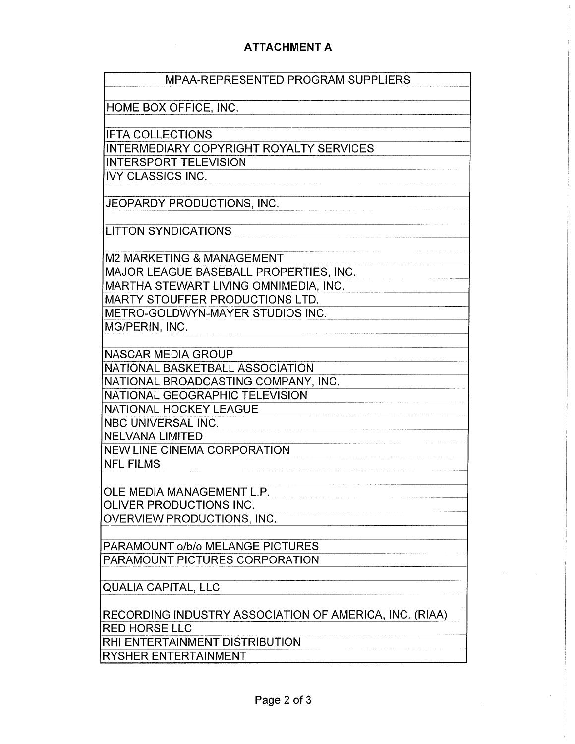# ATTACHMENT A

| <b>MPAA-REPRESENTED PROGRAM SUPPLIERS</b>              |
|--------------------------------------------------------|
|                                                        |
| HOME BOX OFFICE, INC.                                  |
| <b>IFTA COLLECTIONS</b>                                |
| INTERMEDIARY COPYRIGHT ROYALTY SERVICES                |
| <b>INTERSPORT TELEVISION</b>                           |
| <b>IVY CLASSICS INC.</b>                               |
|                                                        |
| JEOPARDY PRODUCTIONS, INC.                             |
|                                                        |
| <b>LITTON SYNDICATIONS</b>                             |
|                                                        |
| M2 MARKETING & MANAGEMENT                              |
| MAJOR LEAGUE BASEBALL PROPERTIES, INC.                 |
| MARTHA STEWART LIVING OMNIMEDIA, INC.                  |
| MARTY STOUFFER PRODUCTIONS LTD.                        |
| METRO-GOLDWYN-MAYER STUDIOS INC.<br>MG/PERIN, INC.     |
|                                                        |
| NASCAR MEDIA GROUP                                     |
| NATIONAL BASKETBALL ASSOCIATION                        |
| NATIONAL BROADCASTING COMPANY, INC.                    |
| NATIONAL GEOGRAPHIC TELEVISION                         |
| NATIONAL HOCKEY LEAGUE                                 |
| NBC UNIVERSAL INC.                                     |
| <b>NELVANA LIMITED</b>                                 |
| <b>NEW LINE CINEMA CORPORATION</b>                     |
| <b>NFL FILMS</b>                                       |
|                                                        |
| OLE MEDIA MANAGEMENT L.P                               |
| OLIVER PRODUCTIONS INC.                                |
| OVERVIEW PRODUCTIONS, INC.                             |
| PARAMOUNT o/b/o MELANGE PICTURES                       |
| PARAMOUNT PICTURES CORPORATION                         |
|                                                        |
| <b>QUALIA CAPITAL, LLC</b>                             |
| RECORDING INDUSTRY ASSOCIATION OF AMERICA, INC. (RIAA) |
| <b>RED HORSE LLC</b>                                   |
| RHI ENTERTAINMENT DISTRIBUTION                         |
| RYSHER ENTERTAINMENT                                   |